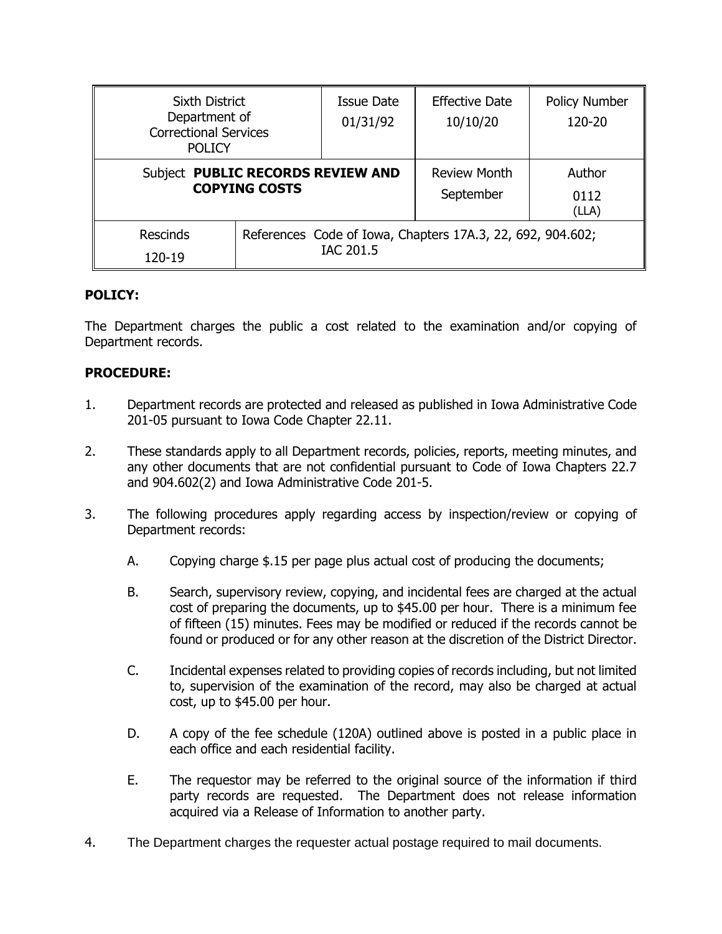| <b>Sixth District</b><br>Department of<br><b>Correctional Services</b><br><b>POLICY</b> |                                                                         | Issue Date<br>01/31/92 | <b>Effective Date</b><br>10/10/20 | <b>Policy Number</b><br>120-20 |
|-----------------------------------------------------------------------------------------|-------------------------------------------------------------------------|------------------------|-----------------------------------|--------------------------------|
| Subject PUBLIC RECORDS REVIEW AND<br><b>COPYING COSTS</b>                               |                                                                         |                        | <b>Review Month</b><br>September  | Author<br>0112<br>(LLA)        |
| <b>Rescinds</b><br>120-19                                                               | References Code of Iowa, Chapters 17A.3, 22, 692, 904.602;<br>IAC 201.5 |                        |                                   |                                |

## **POLICY:**

The Department charges the public a cost related to the examination and/or copying of Department records.

## **PROCEDURE:**

- 1. Department records are protected and released as published in Iowa Administrative Code 201-05 pursuant to Iowa Code Chapter 22.11.
- 2. These standards apply to all Department records, policies, reports, meeting minutes, and any other documents that are not confidential pursuant to Code of Iowa Chapters 22.7 and 904.602(2) and Iowa Administrative Code 201-5.
- 3. The following procedures apply regarding access by inspection/review or copying of Department records:
	- A. Copying charge \$.15 per page plus actual cost of producing the documents;
	- B. Search, supervisory review, copying, and incidental fees are charged at the actual cost of preparing the documents, up to \$45.00 per hour. There is a minimum fee of fifteen (15) minutes. Fees may be modified or reduced if the records cannot be found or produced or for any other reason at the discretion of the District Director.
	- C. Incidental expenses related to providing copies of records including, but not limited to, supervision of the examination of the record, may also be charged at actual cost, up to \$45.00 per hour.
	- D. A copy of the fee schedule (120A) outlined above is posted in a public place in each office and each residential facility.
	- E. The requestor may be referred to the original source of the information if third party records are requested. The Department does not release information acquired via a Release of Information to another party.
- 4. The Department charges the requester actual postage required to mail documents.